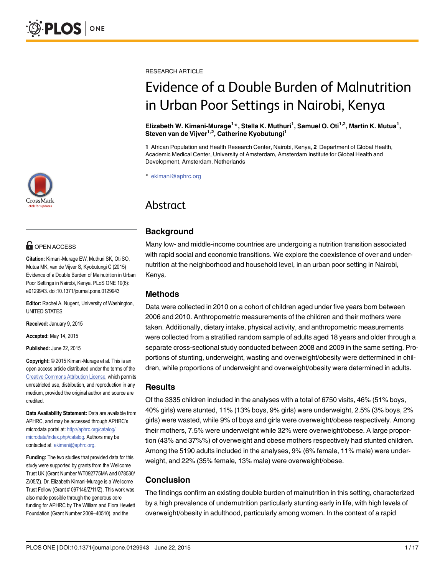

# **OPEN ACCESS**

Citation: Kimani-Murage EW, Muthuri SK, Oti SO, Mutua MK, van de Vijver S, Kyobutungi C (2015) Evidence of a Double Burden of Malnutrition in Urban Poor Settings in Nairobi, Kenya. PLoS ONE 10(6): e0129943. doi:10.1371/journal.pone.0129943

Editor: Rachel A. Nugent, University of Washington, UNITED STATES

Received: January 9, 2015

Accepted: May 14, 2015

Published: June 22, 2015

Copyright: © 2015 Kimani-Murage et al. This is an open access article distributed under the terms of the [Creative Commons Attribution License,](http://creativecommons.org/licenses/by/4.0/) which permits unrestricted use, distribution, and reproduction in any medium, provided the original author and source are credited.

Data Availability Statement: Data are available from APHRC, and may be accessed through APHRC's microdata portal at: [http://aphrc.org/catalog/](http://aphrc.org/catalog/microdata/index.php/catalog) [microdata/index.php/catalog.](http://aphrc.org/catalog/microdata/index.php/catalog) Authors may be contacted at ekimani@aphrc.org.

Funding: The two studies that provided data for this study were supported by grants from the Wellcome Trust UK (Grant Number WT092775MA and 078530/ Z/05/Z). Dr. Elizabeth Kimani-Murage is a Wellcome Trust Fellow (Grant # 097146/Z/11/Z). This work was also made possible through the generous core funding for APHRC by The William and Flora Hewlett Foundation (Grant Number 2009–40510), and the

RESEARCH ARTICLE

# Evidence of a Double Burden of Malnutrition in Urban Poor Settings in Nairobi, Kenya

Elizabeth W. Kimani-Murage<sup>1</sup>\*, Stella K. Muthuri<sup>1</sup>, Samuel O. Oti<sup>1,2</sup>, Martin K. Mutua<sup>1</sup>, Steven van de Vijver<sup>1,2</sup>, Catherine Kyobutungi<sup>1</sup>

1 African Population and Health Research Center, Nairobi, Kenya, 2 Department of Global Health, Academic Medical Center, University of Amsterdam, Amsterdam Institute for Global Health and Development, Amsterdam, Netherlands

\* ekimani@aphrc.org

# Abstract

# Background

Many low- and middle-income countries are undergoing a nutrition transition associated with rapid social and economic transitions. We explore the coexistence of over and undernutrition at the neighborhood and household level, in an urban poor setting in Nairobi, Kenya.

#### Methods

Data were collected in 2010 on a cohort of children aged under five years born between 2006 and 2010. Anthropometric measurements of the children and their mothers were taken. Additionally, dietary intake, physical activity, and anthropometric measurements were collected from a stratified random sample of adults aged 18 years and older through a separate cross-sectional study conducted between 2008 and 2009 in the same setting. Proportions of stunting, underweight, wasting and overweight/obesity were dettermined in children, while proportions of underweight and overweight/obesity were determined in adults.

#### Results

Of the 3335 children included in the analyses with a total of 6750 visits, 46% (51% boys, 40% girls) were stunted, 11% (13% boys, 9% girls) were underweight, 2.5% (3% boys, 2% girls) were wasted, while 9% of boys and girls were overweight/obese respectively. Among their mothers, 7.5% were underweight while 32% were overweight/obese. A large proportion (43% and 37%%) of overweight and obese mothers respectively had stunted children. Among the 5190 adults included in the analyses, 9% (6% female, 11% male) were underweight, and 22% (35% female, 13% male) were overweight/obese.

# Conclusion

The findings confirm an existing double burden of malnutrition in this setting, characterized by a high prevalence of undernutrition particularly stunting early in life, with high levels of overweight/obesity in adulthood, particularly among women. In the context of a rapid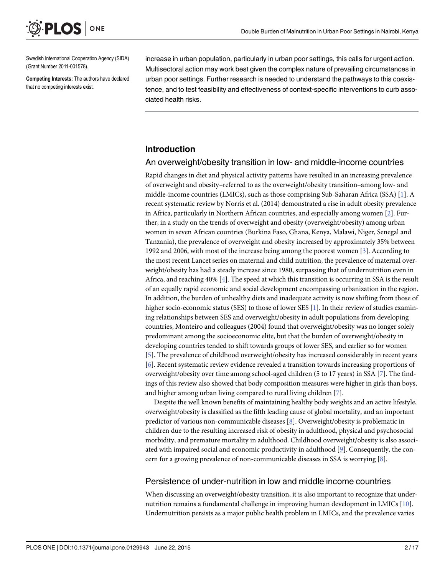<span id="page-1-0"></span>

Swedish International Cooperation Agency (SIDA) (Grant Number 2011-001578).

Competing Interests: The authors have declared that no competing interests exist.

increase in urban population, particularly in urban poor settings, this calls for urgent action. Multisectoral action may work best given the complex nature of prevailing circumstances in urban poor settings. Further research is needed to understand the pathways to this coexistence, and to test feasibility and effectiveness of context-specific interventions to curb associated health risks.

#### Introduction

#### An overweight/obesity transition in low- and middle-income countries

Rapid changes in diet and physical activity patterns have resulted in an increasing prevalence of overweight and obesity–referred to as the overweight/obesity transition–among low- and middle-income countries (LMICs), such as those comprising Sub-Saharan Africa (SSA) [\[1\]](#page-13-0). A recent systematic review by Norris et al. (2014) demonstrated a rise in adult obesity prevalence in Africa, particularly in Northern African countries, and especially among women [\[2\]](#page-13-0). Further, in a study on the trends of overweight and obesity (overweight/obesity) among urban women in seven African countries (Burkina Faso, Ghana, Kenya, Malawi, Niger, Senegal and Tanzania), the prevalence of overweight and obesity increased by approximately 35% between 1992 and 2006, with most of the increase being among the poorest women [[3\]](#page-13-0). According to the most recent Lancet series on maternal and child nutrition, the prevalence of maternal overweight/obesity has had a steady increase since 1980, surpassing that of undernutrition even in Africa, and reaching 40% [\[4\]](#page-13-0). The speed at which this transition is occurring in SSA is the result of an equally rapid economic and social development encompassing urbanization in the region. In addition, the burden of unhealthy diets and inadequate activity is now shifting from those of higher socio-economic status (SES) to those of lower SES [[1](#page-13-0)]. In their review of studies examining relationships between SES and overweight/obesity in adult populations from developing countries, Monteiro and colleagues (2004) found that overweight/obesity was no longer solely predominant among the socioeconomic elite, but that the burden of overweight/obesity in developing countries tended to shift towards groups of lower SES, and earlier so for women [\[5](#page-13-0)]. The prevalence of childhood overweight/obesity has increased considerably in recent years [\[6](#page-13-0)]. Recent systematic review evidence revealed a transition towards increasing proportions of overweight/obesity over time among school-aged children (5 to 17 years) in SSA [[7](#page-13-0)]. The findings of this review also showed that body composition measures were higher in girls than boys, and higher among urban living compared to rural living children [\[7](#page-13-0)].

Despite the well known benefits of maintaining healthy body weights and an active lifestyle, overweight/obesity is classified as the fifth leading cause of global mortality, and an important predictor of various non-communicable diseases [[8\]](#page-13-0). Overweight/obesity is problematic in children due to the resulting increased risk of obesity in adulthood, physical and psychosocial morbidity, and premature mortality in adulthood. Childhood overweight/obesity is also associated with impaired social and economic productivity in adulthood [[9](#page-13-0)]. Consequently, the concern for a growing prevalence of non-communicable diseases in SSA is worrying  $[8]$  $[8]$ .

#### Persistence of under-nutrition in low and middle income countries

When discussing an overweight/obesity transition, it is also important to recognize that undernutrition remains a fundamental challenge in improving human development in LMICs [[10](#page-13-0)]. Undernutrition persists as a major public health problem in LMICs, and the prevalence varies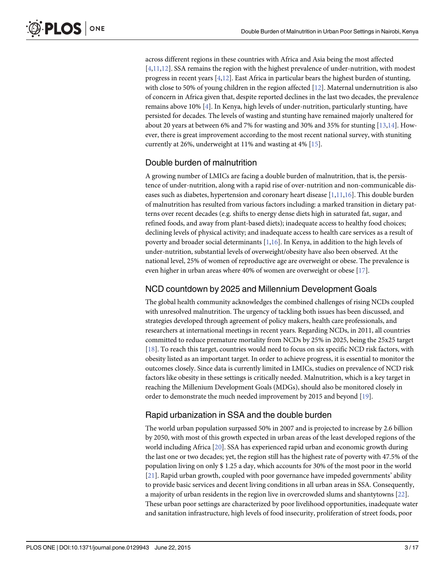across different regions in these countries with Africa and Asia being the most affected  $[4,11,12]$ . SSA remains the region with the highest prevalence of under-nutrition, with modest progress in recent years  $[4,12]$  $[4,12]$  $[4,12]$ . East Africa in particular bears the highest burden of stunting, with close to 50% of young children in the region affected [[12](#page-13-0)]. Maternal undernutrition is also of concern in Africa given that, despite reported declines in the last two decades, the prevalence remains above 10% [\[4](#page-13-0)]. In Kenya, high levels of under-nutrition, particularly stunting, have persisted for decades. The levels of wasting and stunting have remained majorly unaltered for about 20 years at between 6% and 7% for wasting and 30% and 35% for stunting [[13](#page-13-0),[14](#page-14-0)]. However, there is great improvement according to the most recent national survey, with stuniting currently at 26%, underweight at 11% and wasting at 4%  $[15]$ .

#### Double burden of malnutrition

A growing number of LMICs are facing a double burden of malnutrition, that is, the persistence of under-nutrition, along with a rapid rise of over-nutrition and non-communicable diseases such as diabetes, hypertension and coronary heart disease  $[1,11,16]$  $[1,11,16]$  $[1,11,16]$  $[1,11,16]$  $[1,11,16]$ . This double burden of malnutrition has resulted from various factors including: a marked transition in dietary patterns over recent decades (e.g. shifts to energy dense diets high in saturated fat, sugar, and refined foods, and away from plant-based diets); inadequate access to healthy food choices; declining levels of physical activity; and inadequate access to health care services as a result of poverty and broader social determinants [[1,](#page-13-0)[16\]](#page-14-0). In Kenya, in addition to the high levels of under-nutrition, substantial levels of overweight/obesity have also been observed. At the national level, 25% of women of reproductive age are overweight or obese. The prevalence is even higher in urban areas where 40% of women are overweight or obese [\[17\]](#page-14-0).

#### NCD countdown by 2025 and Millennium Development Goals

The global health community acknowledges the combined challenges of rising NCDs coupled with unresolved malnutrition. The urgency of tackling both issues has been discussed, and strategies developed through agreement of policy makers, health care professionals, and researchers at international meetings in recent years. Regarding NCDs, in 2011, all countries committed to reduce premature mortality from NCDs by 25% in 2025, being the 25x25 target [\[18](#page-14-0)]. To reach this target, countries would need to focus on six specific NCD risk factors, with obesity listed as an important target. In order to achieve progress, it is essential to monitor the outcomes closely. Since data is currently limited in LMICs, studies on prevalence of NCD risk factors like obesity in these settings is critically needed. Malnutrition, which is a key target in reaching the Millenium Development Goals (MDGs), should also be monitored closely in order to demonstrate the much needed improvement by 2015 and beyond [\[19\]](#page-14-0).

#### Rapid urbanization in SSA and the double burden

The world urban population surpassed 50% in 2007 and is projected to increase by 2.6 billion by 2050, with most of this growth expected in urban areas of the least developed regions of the world including Africa [[20](#page-14-0)]. SSA has experienced rapid urban and economic growth during the last one or two decades; yet, the region still has the highest rate of poverty with 47.5% of the population living on only \$ 1.25 a day, which accounts for 30% of the most poor in the world [\[21](#page-14-0)]. Rapid urban growth, coupled with poor governance have impeded governments' ability to provide basic services and decent living conditions in all urban areas in SSA. Consequently, a majority of urban residents in the region live in overcrowded slums and shantytowns [[22](#page-14-0)]. These urban poor settings are characterized by poor livelihood opportunities, inadequate water and sanitation infrastructure, high levels of food insecurity, proliferation of street foods, poor

<span id="page-2-0"></span>**PLOS I** 

ONE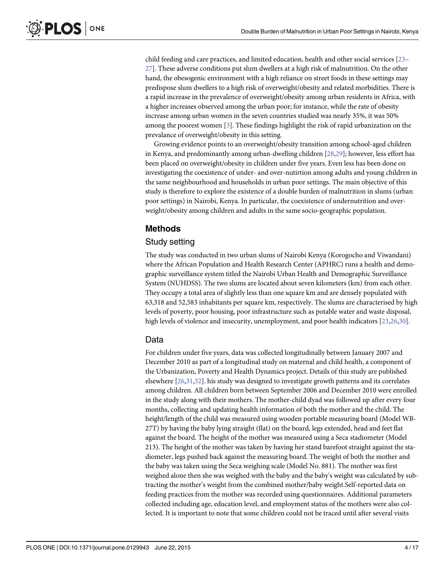<span id="page-3-0"></span>**PLOS I** ONE

> child feeding and care practices, and limited education, health and other social services [\[23](#page-14-0)– [27\]](#page-14-0). These adverse conditions put slum dwellers at a high risk of malnutrition. On the other hand, the obesogenic environment with a high reliance on street foods in these settings may predispose slum dwellers to a high risk of overweight/obesity and related morbidities. There is a rapid increase in the prevalence of overweight/obesity among urban residents in Africa, with a higher increases observed among the urban poor; for instance, while the rate of obesity increase among urban women in the seven countries studied was nearly 35%, it was 50% among the poorest women [[3](#page-13-0)]. These findings highlight the risk of rapid urbanization on the prevalance of overweight/obesity in this setting.

> Growing evidence points to an overweight/obesity transition among school-aged children in Kenya, and predominantly among urban-dwelling children [\[28,29\]](#page-14-0); however, less effort has been placed on overweight/obesity in children under five years. Even less has been done on investigating the coexistence of under- and over-nutirtion among adults and young children in the same neighbourhood and households in urban poor settings. The main objective of this study is therefore to explore the existence of a double burden of malnutrition in slums (urban poor settings) in Nairobi, Kenya. In particular, the coexistence of undernutrition and overweight/obesity among children and adults in the same socio-geographic population.

## Methods

## Study setting

The study was conducted in two urban slums of Nairobi Kenya (Korogocho and Viwandani) where the African Population and Health Research Center (APHRC) runs a health and demographic surveillance system titled the Nairobi Urban Health and Demographic Surveillance System (NUHDSS). The two slums are located about seven kilometers (km) from each other. They occupy a total area of slightly less than one square km and are densely populated with 63,318 and 52,583 inhabitants per square km, respectively. The slums are characterised by high levels of poverty, poor housing, poor infrastructure such as potable water and waste disposal, high levels of violence and insecurity, unemployment, and poor health indicators [\[23,26,30\]](#page-14-0).

#### Data

For children under five years, data was collected longitudinally between January 2007 and December 2010 as part of a longitudinal study on maternal and child health, a component of the Urbanization, Poverty and Health Dynamics project. Details of this study are published elsewhere [\[26,31,32](#page-14-0)]. his study was designed to investigate growth patterns and its correlates among children. All children born between September 2006 and December 2010 were enrolled in the study along with their mothers. The mother-child dyad was followed up after every four months, collecting and updating health information of both the mother and the child. The height/length of the child was measured using wooden portable measuring board (Model WB-27T) by having the baby lying straight (flat) on the board, legs extended, head and feet flat against the board. The height of the mother was measured using a Seca stadiometer (Model 213). The height of the mother was taken by having her stand barefoot straight against the stadiometer, legs pushed back against the measuring board. The weight of both the mother and the baby was taken using the Seca weighing scale (Model No. 881). The mother was first weighed alone then she was weighed with the baby and the baby's weight was calculated by subtracting the mother's weight from the combined mother/baby weight.Self-reported data on feeding practices from the mother was recorded using questionnaires. Additional parameters collected including age, education level, and employment status of the mothers were also collected. It is important to note that some children could not be traced until after several visits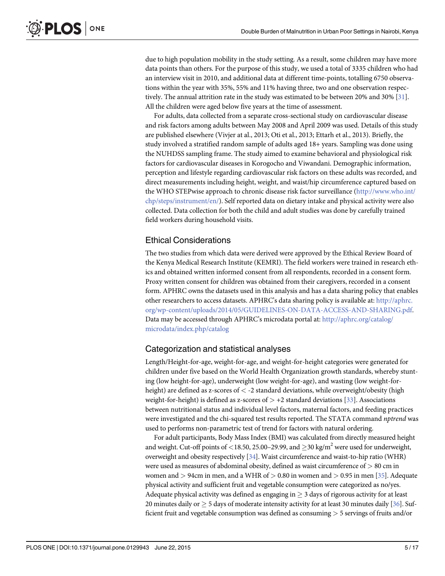<span id="page-4-0"></span>due to high population mobility in the study setting. As a result, some children may have more data points than others. For the purpose of this study, we used a total of 3335 children who had an interview visit in 2010, and additional data at different time-points, totalling 6750 observations within the year with 35%, 55% and 11% having three, two and one observation respectively. The annual attrition rate in the study was estimated to be between 20% and 30% [[31](#page-14-0)]. All the children were aged below five years at the time of assessment.

For adults, data collected from a separate cross-sectional study on cardiovascular disease and risk factors among adults between May 2008 and April 2009 was used. Details of this study are published elsewhere (Vivjer at al., 2013; Oti et al., 2013; Ettarh et al., 2013). Briefly, the study involved a stratified random sample of adults aged 18+ years. Sampling was done using the NUHDSS sampling frame. The study aimed to examine behavioral and physiological risk factors for cardiovascular diseases in Korogocho and Viwandani. Demographic information, perception and lifestyle regarding cardiovascular risk factors on these adults was recorded, and direct measurements including height, weight, and waist/hip circumference captured based on the WHO STEPwise approach to chronic disease risk factor surveillance ([http://www.who.int/](http://www.who.int/chp/steps/instrument/en/) [chp/steps/instrument/en/](http://www.who.int/chp/steps/instrument/en/)). Self reported data on dietary intake and physical activity were also collected. Data collection for both the child and adult studies was done by carefully trained field workers during household visits.

#### Ethical Considerations

The two studies from which data were derived were approved by the Ethical Review Board of the Kenya Medical Research Institute (KEMRI). The field workers were trained in research ethics and obtained written informed consent from all respondents, recorded in a consent form. Proxy written consent for children was obtained from their caregivers, recorded in a consent form. APHRC owns the datasets used in this analysis and has a data sharing policy that enables other researchers to access datasets. APHRC's data sharing policy is available at: [http://aphrc.](http://aphrc.org/wp-content/uploads/2014/05/GUIDELINES-ON-DATA-ACCESS-AND-SHARING.pdf) [org/wp-content/uploads/2014/05/GUIDELINES-ON-DATA-ACCESS-AND-SHARING.pdf](http://aphrc.org/wp-content/uploads/2014/05/GUIDELINES-ON-DATA-ACCESS-AND-SHARING.pdf). Data may be accessed through APHRC's microdata portal at: [http://aphrc.org/catalog/](http://aphrc.org/catalog/microdata/index.php/catalog) [microdata/index.php/catalog](http://aphrc.org/catalog/microdata/index.php/catalog)

#### Categorization and statistical analyses

Length/Height-for-age, weight-for-age, and weight-for-height categories were generated for children under five based on the World Health Organization growth standards, whereby stunting (low height-for-age), underweight (low weight-for-age), and wasting (low weight-forheight) are defined as z-scores of  $\langle$  -2 standard deviations, while overweight/obesity (high weight-for-height) is defined as z-scores of  $> +2$  standard deviations [[33](#page-14-0)]. Associations between nutritional status and individual level factors, maternal factors, and feeding practices were investigated and the chi-squared test results reported. The STATA command nptrend was used to performs non-parametric test of trend for factors with natural ordering.

For adult participants, Body Mass Index (BMI) was calculated from directly measured height and weight. Cut-off points of <18.50, 25.00–29.99, and  $\geq$ 30 kg/m<sup>2</sup> were used for underweight, overweight and obesity respectively  $[34]$ . Waist circumference and waist-to-hip ratio (WHR) were used as measures of abdominal obesity, defined as waist circumference of > 80 cm in women and  $> 94$ cm in men, and a WHR of  $> 0.80$  in women and  $> 0.95$  in men [[35](#page-15-0)]. Adequate physical activity and sufficient fruit and vegetable consumption were categorized as no/yes. Adequate physical activity was defined as engaging in  $\geq$  3 days of rigorous activity for at least 20 minutes daily or  $\geq$  5 days of moderate intensity activity for at least 30 minutes daily [[36](#page-15-0)]. Sufficient fruit and vegetable consumption was defined as consuming > 5 servings of fruits and/or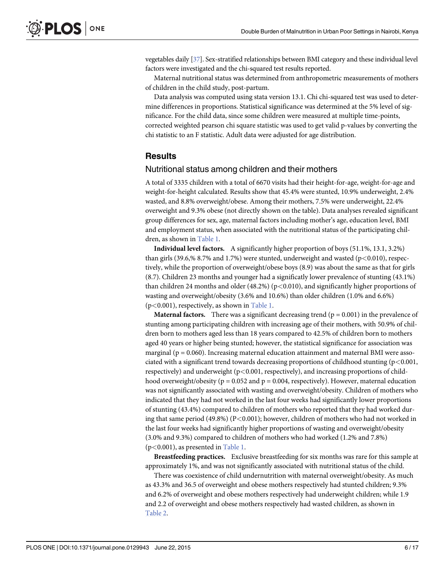<span id="page-5-0"></span>vegetables daily [[37](#page-15-0)]. Sex-stratified relationships between BMI category and these individual level factors were investigated and the chi-squared test results reported.

Maternal nutritional status was determined from anthropometric measurements of mothers of children in the child study, post-partum.

Data analysis was computed using stata version 13.1. Chi chi-squared test was used to determine differences in proportions. Statistical significance was determined at the 5% level of significance. For the child data, since some children were measured at multiple time-points, corrected weighted pearson chi square statistic was used to get valid p-values by converting the chi statistic to an F statistic. Adult data were adjusted for age distribution.

#### **Results**

#### Nutritional status among children and their mothers

A total of 3335 children with a total of 6670 visits had their height-for-age, weight-for-age and weight-for-height calculated. Results show that 45.4% were stunted, 10.9% underweight, 2.4% wasted, and 8.8% overweight/obese. Among their mothers, 7.5% were underweight, 22.4% overweight and 9.3% obese (not directly shown on the table). Data analyses revealed significant group differences for sex, age, maternal factors including mother's age, education level, BMI and employment status, when associated with the nutritional status of the participating children, as shown in [Table 1.](#page-6-0)

Individual level factors. A significantly higher proportion of boys (51.1%, 13.1, 3.2%) than girls (39.6,% 8.7% and 1.7%) were stunted, underweight and wasted ( $p$ <0.010), respectively, while the proportion of overweight/obese boys (8.9) was about the same as that for girls (8.7). Children 23 months and younger had a significatly lower prevalence of stunting (43.1%) than children 24 months and older  $(48.2%)$  (p $< 0.010$ ), and significantly higher proportions of wasting and overweight/obesity (3.6% and 10.6%) than older children (1.0% and 6.6%) (p<0.001), respectively, as shown in [Table 1.](#page-6-0)

**Maternal factors.** There was a significant decreasing trend ( $p = 0.001$ ) in the prevalence of stunting among participating children with increasing age of their mothers, with 50.9% of children born to mothers aged less than 18 years compared to 42.5% of children born to mothers aged 40 years or higher being stunted; however, the statistical significance for association was marginal ( $p = 0.060$ ). Increasing maternal education attainment and maternal BMI were associated with a significant trend towards decreasing proportions of childhood stunting  $(p<0.001,$ respectively) and underweight (p<0.001, respectively), and increasing proportions of childhood overweight/obesity ( $p = 0.052$  and  $p = 0.004$ , respectively). However, maternal education was not significantly associated with wasting and overweight/obesity. Children of mothers who indicated that they had not worked in the last four weeks had significantly lower proportions of stunting (43.4%) compared to children of mothers who reported that they had worked during that same period (49.8%) (P<0.001); however, children of mothers who had not worked in the last four weeks had significantly higher proportions of wasting and overweight/obesity (3.0% and 9.3%) compared to children of mothers who had worked (1.2% and 7.8%) (p<0.001), as presented in [Table 1](#page-6-0).

Breastfeeding practices. Exclusive breastfeeding for six months was rare for this sample at approximately 1%, and was not significantly associated with nutritional status of the child.

There was coexistence of child undernutrition with maternal overweight/obesity. As much as 43.3% and 36.5 of overweight and obese mothers respectively had stunted children; 9.3% and 6.2% of overweight and obese mothers respectively had underweight children; while 1.9 and 2.2 of overweight and obese mothers respectively had wasted children, as shown in [Table 2](#page-7-0).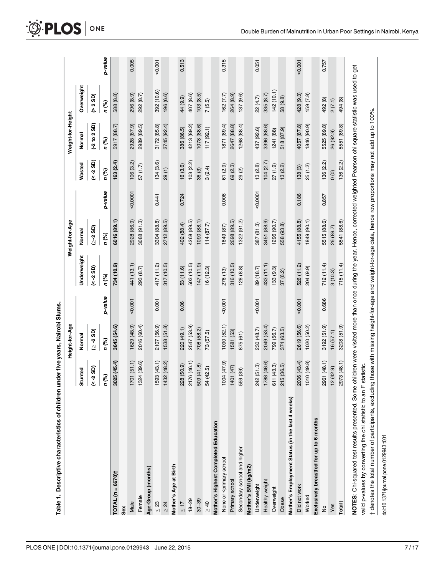|                                                                                                                                                                                                                                                      |                   | Height-for-Age |         |              | Weight-for-Age |         |                | Weight-for-Height |                     |         |
|------------------------------------------------------------------------------------------------------------------------------------------------------------------------------------------------------------------------------------------------------|-------------------|----------------|---------|--------------|----------------|---------|----------------|-------------------|---------------------|---------|
|                                                                                                                                                                                                                                                      | Stunted           | Normal         |         | Underweight  | Normal         |         | Wasted         | Normal            | Overweight          |         |
|                                                                                                                                                                                                                                                      | $(4 - 25D)$       | (35 -∑         |         | $($ < -2 SD) | ∑-2 SD)        |         | $(4 - 2)$ SD)  | $(-2 to 2 SD)$    | (2 S <sub>D</sub> ) |         |
|                                                                                                                                                                                                                                                      | n (%)             | n (%)          | p-value | n (%)        | n (%)          | p-value | n (%)          | n (%)             | n (%)               | p-value |
| TOTAL (n = 6670)†                                                                                                                                                                                                                                    | 3025(45.4)        | 3645 (54.6)    |         | 734 (10.9)   | 6016 (89.1)    |         | 163(2.4)       | 5917 (88.7)       | 588 (8.8)           |         |
| Sex                                                                                                                                                                                                                                                  |                   |                |         |              |                |         |                |                   |                     |         |
| Male                                                                                                                                                                                                                                                 | 1701(51.1)        | 1629 (48.9)    | 0.001   | 441 (13.1)   | 2928 (86.9)    | 0.0001  | 106(3.2)       | 2928 (87.9)       | 296 (8.9)           | 0.005   |
| Female                                                                                                                                                                                                                                               | 1324 (39.6)       | 2016 (60.4)    |         | 293 (8.7)    | 3088 (91.3)    |         | 57(1.7)        | 2989 (89.5)       | 292 (8.7)           |         |
| Age-Group (months)                                                                                                                                                                                                                                   |                   |                |         |              |                |         |                |                   |                     |         |
| $\leq 23$                                                                                                                                                                                                                                            | 1593 (43.1)       | 2107 (56.9)    | 0.001   | 417 (11.2)   | 3304 (88.8)    | 0.441   | 134(3.6)       | 3172 (85.8)       | 392 (10.6)          | 0.001   |
| $\geq 24$                                                                                                                                                                                                                                            | 1432 (48.2)       | 1538 (51.8)    |         | 317(10.5)    | 2712 (89.5)    |         | 29(1)          | 2745 (92.4)       | 196 (6.6)           |         |
| Mother's Age at Birth                                                                                                                                                                                                                                |                   |                |         |              |                |         |                |                   |                     |         |
| $\leq 17$                                                                                                                                                                                                                                            | 228 (50.9)        | 220 (49.1)     | 0.06    | 53 (11.6)    | 402 (88.4)     | 0.724   | 16(3.6)        | 386 (86.5)        | 44 (9.9)            | 0.513   |
| $18 - 29$                                                                                                                                                                                                                                            | 2176 (46.1)       | 2547 (53.9)    |         | 503 (10.5)   | 4268 (89.5)    |         | 103(2.2)       | 4213 (89.2)       | 407 (8.6)           |         |
| $30 - 39$                                                                                                                                                                                                                                            | (41.8)<br>509     | 708 (58.2)     |         | (6.11, 147)  | 1090 (88.1)    |         | 36(3)          | 1078 (88.6)       | 103(8.5)            |         |
| $\frac{1}{2}$                                                                                                                                                                                                                                        | 54 (42.5)         | 73 (57.5)      |         | 16(12.3)     | 114(87.7)      |         | 3(2.4)         | 117(92.1)         | 7(5.5)              |         |
| Mother's Highest Completed Education                                                                                                                                                                                                                 |                   |                |         |              |                |         |                |                   |                     |         |
| None or <primary school<="" td=""><td><math>(6.74)</math> <math>(47.9)</math></td><td>1090 (52.1)</td><td>0.001</td><td>276 (13)</td><td>1849 (87)</td><td>0.008</td><td>61 (2.9)</td><td>1871 (89.4)</td><td>162 (7.7)</td><td>0.315</td></primary> | $(6.74)$ $(47.9)$ | 1090 (52.1)    | 0.001   | 276 (13)     | 1849 (87)      | 0.008   | 61 (2.9)       | 1871 (89.4)       | 162 (7.7)           | 0.315   |
| Primary school                                                                                                                                                                                                                                       | 1401 (47)         | 1581 (53)      |         | 316 (10.5)   | 2698 (89.5)    |         | 69 (2.3)       | 2647 (88.8)       | 264 (8.9)           |         |
| Secondary school and higher                                                                                                                                                                                                                          | (39)<br>559       | 875 (61)       |         | 128(8.8)     | 1322 (91.2)    |         | 29(2)          | 1268 (88.4)       | 137(9.6)            |         |
| Mother's BMI (kg/m2)                                                                                                                                                                                                                                 |                   |                |         |              |                |         |                |                   |                     |         |
| Underweight                                                                                                                                                                                                                                          | (51.3)<br>242     | 230 (48.7)     | 0.001   | 89 (18.7)    | 387 (81.3)     | 0.0001  | 13(2.8)        | 437 (92.6)        | 22 (4.7)            | 0.051   |
| Healthy weight                                                                                                                                                                                                                                       | 1788 (46.6)       | 2049 (53.4)    |         | 433 (11.1)   | 3451 (88.9)    |         | 104(2.7)       | 3396 (88.6)       | 335 (8.7)           |         |
| Overweight                                                                                                                                                                                                                                           | (43.3)<br>611     | 799 (56.7)     |         | 133(9.3)     | 1296 (90.7)    |         | 27(1.9)        | 1241 (88)         | 142 (10.1)          |         |
| Obese                                                                                                                                                                                                                                                | (36.5)<br>215     | 374 (63.5)     |         | 37(6.2)      | 558 (93.8)     |         | 13(2.2)        | 518 (87.9)        | 58 (9.8)            |         |
| Mother's Employment Status (in the last 4 weeks)                                                                                                                                                                                                     |                   |                |         |              |                |         |                |                   |                     |         |
| Did not work                                                                                                                                                                                                                                         | 2006 (43.4)       | 2619 (56.6)    | 0.001   | 526 (11.2)   | 4155 (88.8)    | 0.186   | 138(3)         | 4057 (87.8)       | 428 (9.3)           | 0.001   |
| Worked                                                                                                                                                                                                                                               | 1010 (49.8)       | 1020 (50.2)    |         | 204 (9.9)    | 1849 (90.1)    |         | 25(1.2)        | 1846 (90.9)       | 159 (7.8)           |         |
| Exclusively breastfed for up to 6 months                                                                                                                                                                                                             |                   |                |         |              |                |         |                |                   |                     |         |
| $\frac{1}{2}$                                                                                                                                                                                                                                        | 2961 (48.1)       | 3192 (51.9)    | 0.686   | 712(11.4)    | 5515 (88.6)    | 0.857   | 136(2.2)       | 5525 (89.8)       | 492 (8)             | 0.757   |
| Yes                                                                                                                                                                                                                                                  | 12(42.9)          | 16(57.1)       |         | 3(10.3)      | 26 (89.7)      |         | $\overline{0}$ | 26 (92.9)         | 2(7.1)              |         |
| Total†                                                                                                                                                                                                                                               | 2973 (48.1)       | 3208 (51.9)    |         | 715(11.4)    | 5541 (88.6)    |         | 136(2.2)       | 5551 (89.8)       | 494 (8)             |         |
| NOTES: Chi-squared test results presented. Some children were visited more than once during the year. Hence, corrected weighted Pearson chi square statistic was used to get                                                                         |                   |                |         |              |                |         |                |                   |                     |         |
| valid p-values by converting the chi statistic to an F statistic.                                                                                                                                                                                    |                   |                |         |              |                |         |                |                   |                     |         |
| † denotes the total number of participants, excluding those with missing height-for-age and weight-for-age data, hence row proportions may not add up to 100%.                                                                                       |                   |                |         |              |                |         |                |                   |                     |         |

<span id="page-6-0"></span>O PLOS ONE

doi:10.1371/journal.pone.0129943.t001

doi:10.1371/journal.pone.0129943.t001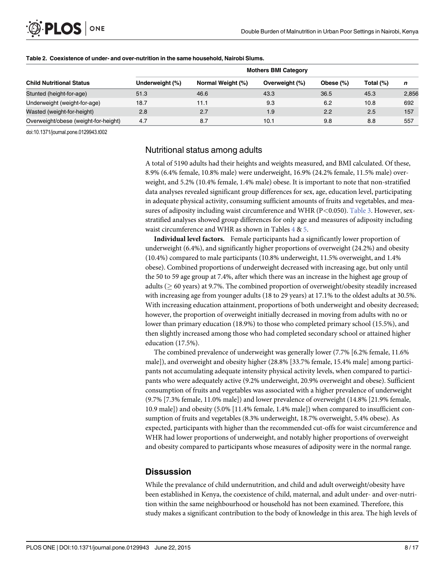<span id="page-7-0"></span>

|                                      | <b>Mothers BMI Category</b> |                   |                |           |           |       |  |  |
|--------------------------------------|-----------------------------|-------------------|----------------|-----------|-----------|-------|--|--|
| <b>Child Nutritional Status</b>      | Underweight (%)             | Normal Weight (%) | Overweight (%) | Obese (%) | Total (%) | n     |  |  |
| Stunted (height-for-age)             | 51.3                        | 46.6              | 43.3           | 36.5      | 45.3      | 2,856 |  |  |
| Underweight (weight-for-age)         | 18.7                        | 11.1              | 9.3            | 6.2       | 10.8      | 692   |  |  |
| Wasted (weight-for-height)           | 2.8                         | 2.7               | 1.9            | 2.2       | 2.5       | 157   |  |  |
| Overweight/obese (weight-for-height) | 4.7                         | 8.7               | 10.1           | 9.8       | 8.8       | 557   |  |  |

#### [Table 2.](#page-5-0) Coexistence of under- and over-nutrition in the same household, Nairobi Slums.

doi:10.1371/journal.pone.0129943.t002

#### Nutritional status among adults

A total of 5190 adults had their heights and weights measured, and BMI calculated. Of these, 8.9% (6.4% female, 10.8% male) were underweight, 16.9% (24.2% female, 11.5% male) overweight, and 5.2% (10.4% female, 1.4% male) obese. It is important to note that non-stratified data analyses revealed significant group differences for sex, age, education level, participating in adequate physical activity, consuming sufficient amounts of fruits and vegetables, and mea-sures of adiposity including waist circumference and WHR (P<0.050). [Table 3.](#page-8-0) However, sexstratified analyses showed group differences for only age and measures of adiposity including waist circumference and WHR as shown in Tables [4](#page-9-0) & [5](#page-10-0).

Individual level factors. Female participants had a significantly lower proportion of underweight (6.4%), and significantly higher proportions of overweight (24.2%) and obesity (10.4%) compared to male participants (10.8% underweight, 11.5% overweight, and 1.4% obese). Combined proportions of underweight decreased with increasing age, but only until the 50 to 59 age group at 7.4%, after which there was an increase in the highest age group of adults ( $> 60$  years) at 9.7%. The combined proportion of overweight/obesity steadily increased with increasing age from younger adults (18 to 29 years) at 17.1% to the oldest adults at 30.5%. With increasing education attainment, proportions of both underweight and obesity decreased; however, the proportion of overweight initially decreased in moving from adults with no or lower than primary education (18.9%) to those who completed primary school (15.5%), and then slightly increased among those who had completed secondary school or attained higher education (17.5%).

The combined prevalence of underweight was generally lower (7.7% [6.2% female, 11.6% male]), and overweight and obesity higher (28.8% [33.7% female, 15.4% male] among participants not accumulating adequate intensity physical activity levels, when compared to participants who were adequately active (9.2% underweight, 20.9% overweight and obese). Sufficient consumption of fruits and vegetables was associated with a higher prevalence of underweight (9.7% [7.3% female, 11.0% male]) and lower prevalence of overweight (14.8% [21.9% female, 10.9 male]) and obesity (5.0% [11.4% female, 1.4% male]) when compared to insufficient consumption of fruits and vegetables (8.3% underweight, 18.7% overweight, 5.4% obese). As expected, participants with higher than the recommended cut-offs for waist circumference and WHR had lower proportions of underweight, and notably higher proportions of overweight and obesity compared to participants whose measures of adiposity were in the normal range.

#### **Dissussion**

While the prevalance of child undernutrition, and child and adult overweight/obesity have been established in Kenya, the coexistence of child, maternal, and adult under- and over-nutrition within the same neighbourhood or household has not been examined. Therefore, this study makes a significant contribution to the body of knowledge in this area. The high levels of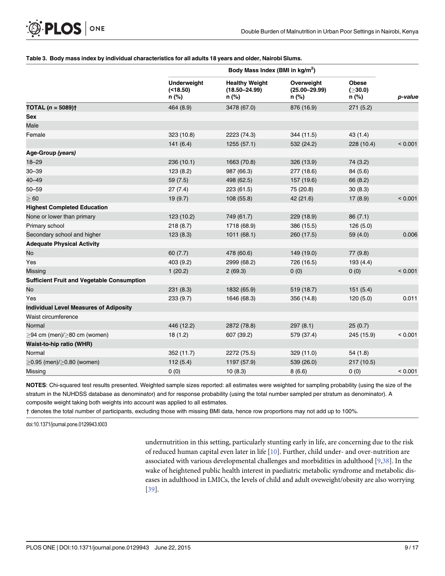#### <span id="page-8-0"></span>[Table 3.](#page-7-0) Body mass index by individual characteristics for all adults 18 years and older, Nairobi Slums.

|                                                   |                                           | Body Mass Index (BMI in kg/m <sup>2</sup> )         |                                          |                                  |         |
|---------------------------------------------------|-------------------------------------------|-----------------------------------------------------|------------------------------------------|----------------------------------|---------|
|                                                   | <b>Underweight</b><br>( < 18.50)<br>n (%) | <b>Healthy Weight</b><br>$(18.50 - 24.99)$<br>n (%) | Overweight<br>$(25.00 - 29.99)$<br>n (%) | <b>Obese</b><br>(≥30.0)<br>n (%) | p-value |
| <b>TOTAL</b> $(n = 5089)$ <sup>+</sup>            | 464 (8.9)                                 | 3478 (67.0)                                         | 876 (16.9)                               | 271(5.2)                         |         |
| <b>Sex</b>                                        |                                           |                                                     |                                          |                                  |         |
| Male                                              |                                           |                                                     |                                          |                                  |         |
| Female                                            | 323 (10.8)                                | 2223 (74.3)                                         | 344 (11.5)                               | 43(1.4)                          |         |
|                                                   | 141(6.4)                                  | 1255 (57.1)                                         | 532 (24.2)                               | 228 (10.4)                       | < 0.001 |
| Age-Group (years)                                 |                                           |                                                     |                                          |                                  |         |
| $18 - 29$                                         | 236(10.1)                                 | 1663 (70.8)                                         | 326 (13.9)                               | 74 (3.2)                         |         |
| $30 - 39$                                         | 123(8.2)                                  | 987 (66.3)                                          | 277 (18.6)                               | 84 (5.6)                         |         |
| $40 - 49$                                         | 59(7.5)                                   | 498 (62.5)                                          | 157 (19.6)                               | 66 (8.2)                         |         |
| $50 - 59$                                         | 27(7.4)                                   | 223 (61.5)                                          | 75 (20.8)                                | 30(8.3)                          |         |
| $\geq 60$                                         | 19(9.7)                                   | 108 (55.8)                                          | 42 (21.6)                                | 17(8.9)                          | < 0.001 |
| <b>Highest Completed Education</b>                |                                           |                                                     |                                          |                                  |         |
| None or lower than primary                        | 123 (10.2)                                | 749 (61.7)                                          | 229 (18.9)                               | 86(7.1)                          |         |
| Primary school                                    | 218(8.7)                                  | 1718 (68.9)                                         | 386 (15.5)                               | 126(5.0)                         |         |
| Secondary school and higher                       | 123(8.3)                                  | 1011(68.1)                                          | 260 (17.5)                               | 59 (4.0)                         | 0.006   |
| <b>Adequate Physical Activity</b>                 |                                           |                                                     |                                          |                                  |         |
| No                                                | 60(7.7)                                   | 478 (60.6)                                          | 149 (19.0)                               | 77(9.8)                          |         |
| Yes                                               | 403 (9.2)                                 | 2999 (68.2)                                         | 726 (16.5)                               | 193(4.4)                         |         |
| <b>Missing</b>                                    | 1(20.2)                                   | 2(69.3)                                             | 0(0)                                     | 0(0)                             | < 0.001 |
| <b>Sufficient Fruit and Vegetable Consumption</b> |                                           |                                                     |                                          |                                  |         |
| No                                                | 231(8.3)                                  | 1832 (65.9)                                         | 519 (18.7)                               | 151(5.4)                         |         |
| Yes                                               | 233(9.7)                                  | 1646 (68.3)                                         | 356 (14.8)                               | 120(5.0)                         | 0.011   |
| <b>Individual Level Measures of Adiposity</b>     |                                           |                                                     |                                          |                                  |         |
| Waist circumference                               |                                           |                                                     |                                          |                                  |         |
| Normal                                            | 446 (12.2)                                | 2872 (78.8)                                         | 297(8.1)                                 | 25(0.7)                          |         |
| $\geq$ 94 cm (men)/ $\geq$ 80 cm (women)          | 18(1.2)                                   | 607 (39.2)                                          | 579 (37.4)                               | 245 (15.9)                       | < 0.001 |
| Waist-to-hip ratio (WHR)                          |                                           |                                                     |                                          |                                  |         |
| Normal                                            | 352 (11.7)                                | 2272 (75.5)                                         | 329 (11.0)                               | 54(1.8)                          |         |
| $>0.95$ (men)/ $>0.80$ (women)                    | 112(5.4)                                  | 1197 (57.9)                                         | 539 (26.0)                               | 217 (10.5)                       |         |
| Missing                                           | 0(0)                                      | 10(8.3)                                             | 8(6.6)                                   | 0(0)                             | < 0.001 |

NOTES: Chi-squared test results presented. Weighted sample sizes reported: all estimates were weighted for sampling probability (using the size of the stratum in the NUHDSS database as denominator) and for response probability (using the total number sampled per stratum as denominator). A composite weight taking both weights into account was applied to all estimates.

† denotes the total number of participants, excluding those with missing BMI data, hence row proportions may not add up to 100%.

doi:10.1371/journal.pone.0129943.t003

undernutrition in this setting, particularly stunting early in life, are concerning due to the risk of reduced human capital even later in life [[10](#page-13-0)]. Further, child under- and over-nutrition are associated with various developmental challenges and morbidities in adulthood [\[9](#page-13-0)[,38\]](#page-15-0). In the wake of heightened public health interest in paediatric metabolic syndrome and metabolic diseases in adulthood in LMICs, the levels of child and adult oveweight/obesity are also worrying [\[39](#page-15-0)].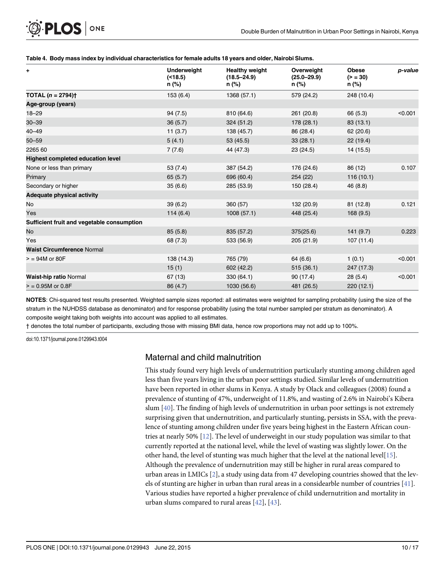#### <span id="page-9-0"></span>[Table 4.](#page-7-0) Body mass index by individual characteristics for female adults 18 years and older, Nairobi Slums.

| ٠.                                         | <b>Underweight</b><br>( < 18.5)<br>n (%) | <b>Healthy weight</b><br>$(18.5 - 24.9)$<br>n (%) | Overweight<br>$(25.0 - 29.9)$<br>n (%) | <b>Obese</b><br>$(>= 30)$<br>n (%) | p-value |
|--------------------------------------------|------------------------------------------|---------------------------------------------------|----------------------------------------|------------------------------------|---------|
| <b>TOTAL</b> $(n = 2794)$ <sup>+</sup>     | 153(6.4)                                 | 1368 (57.1)                                       | 579 (24.2)                             | 248 (10.4)                         |         |
| Age-group (years)                          |                                          |                                                   |                                        |                                    |         |
| $18 - 29$                                  | 94(7.5)                                  | 810 (64.6)                                        | 261 (20.8)                             | 66 (5.3)                           | < 0.001 |
| $30 - 39$                                  | 36(5.7)                                  | 324 (51.2)                                        | 178 (28.1)                             | 83(13.1)                           |         |
| $40 - 49$                                  | 11(3.7)                                  | 138 (45.7)                                        | 86 (28.4)                              | 62(20.6)                           |         |
| $50 - 59$                                  | 5(4.1)                                   | 53 (45.5)                                         | 33(28.1)                               | 22(19.4)                           |         |
| 2265 60                                    | 7(7.6)                                   | 44 (47.3)                                         | 23(24.5)                               | 14 (15.5)                          |         |
| <b>Highest completed education level</b>   |                                          |                                                   |                                        |                                    |         |
| None or less than primary                  | 53(7.4)                                  | 387 (54.2)                                        | 176 (24.6)                             | 86 (12)                            | 0.107   |
| Primary                                    | 65(5.7)                                  | 696 (60.4)                                        | 254 (22)                               | 116(10.1)                          |         |
| Secondary or higher                        | 35(6.6)                                  | 285 (53.9)                                        | 150 (28.4)                             | 46 (8.8)                           |         |
| <b>Adequate physical activity</b>          |                                          |                                                   |                                        |                                    |         |
| No                                         | 39(6.2)                                  | 360 (57)                                          | 132 (20.9)                             | 81 (12.8)                          | 0.121   |
| Yes                                        | 114(6.4)                                 | 1008(57.1)                                        | 448 (25.4)                             | 168(9.5)                           |         |
| Sufficient fruit and vegetable consumption |                                          |                                                   |                                        |                                    |         |
| No                                         | 85(5.8)                                  | 835 (57.2)                                        | 375(25.6)                              | 141(9.7)                           | 0.223   |
| Yes                                        | 68 (7.3)                                 | 533 (56.9)                                        | 205 (21.9)                             | 107(11.4)                          |         |
| <b>Waist Circumference Normal</b>          |                                          |                                                   |                                        |                                    |         |
| $>$ = 94M or 80F                           | 138 (14.3)                               | 765 (79)                                          | 64 (6.6)                               | 1(0.1)                             | < 0.001 |
|                                            | 15(1)                                    | 602 (42.2)                                        | 515(36.1)                              | 247 (17.3)                         |         |
| <b>Waist-hip ratio Normal</b>              | 67(13)                                   | 330 (64.1)                                        | 90(17.4)                               | 28(5.4)                            | < 0.001 |
| $>$ = 0.95M or 0.8F                        | 86 (4.7)                                 | 1030 (56.6)                                       | 481 (26.5)                             | 220(12.1)                          |         |

NOTES: Chi-squared test results presented. Weighted sample sizes reported: all estimates were weighted for sampling probability (using the size of the stratum in the NUHDSS database as denominator) and for response probability (using the total number sampled per stratum as denominator). A composite weight taking both weights into account was applied to all estimates.

† denotes the total number of participants, excluding those with missing BMI data, hence row proportions may not add up to 100%.

doi:10.1371/journal.pone.0129943.t004

#### Maternal and child malnutrition

This study found very high levels of undernutrition particularly stunting among children aged less than five years living in the urban poor settings studied. Similar levels of undernutrition have been reported in other slums in Kenya. A study by Olack and colleagues (2008) found a prevalence of stunting of 47%, underweight of 11.8%, and wasting of 2.6% in Nairobi's Kibera slum [\[40\]](#page-15-0). The finding of high levels of undernutrition in urban poor settings is not extremely surprising given that undernutrition, and particularly stunting, persists in SSA, with the prevalence of stunting among children under five years being highest in the Eastern African countries at nearly 50%  $[12]$  $[12]$  $[12]$ . The level of underweight in our study population was similar to that currently reported at the national level, while the level of wasting was slightly lower. On the other hand, the level of stunting was much higher that the level at the national level[\[15](#page-14-0)]. Although the prevalence of undernutrition may still be higher in rural areas compared to urban areas in LMICs [[2\]](#page-13-0), a study using data from 47 developing countries showed that the levels of stunting are higher in urban than rural areas in a considearble number of countries [[41\]](#page-15-0). Various studies have reported a higher prevalence of child undernutrition and mortality in urban slums compared to rural areas [\[42\]](#page-15-0), [[43](#page-15-0)].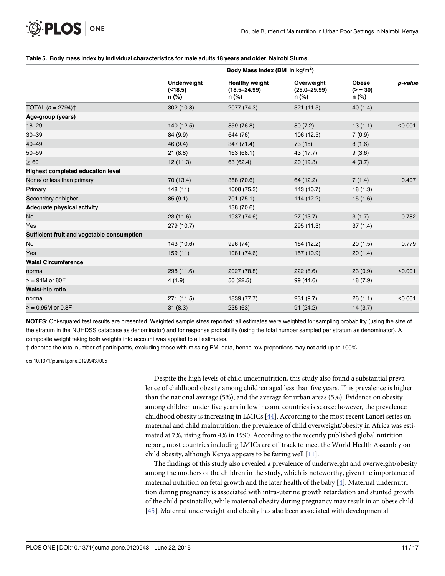#### <span id="page-10-0"></span>[Table 5.](#page-7-0) Body mass index by individual characteristics for male adults 18 years and older, Nairobi Slums.

|                                            |                                          | Body Mass Index (BMI in kg/m <sup>2</sup> )        |                                         |                                    |         |
|--------------------------------------------|------------------------------------------|----------------------------------------------------|-----------------------------------------|------------------------------------|---------|
|                                            | <b>Underweight</b><br>( < 18.5)<br>n (%) | <b>Healthy weight</b><br>$(18.5 - 24.99)$<br>n (%) | Overweight<br>$(25.0 - 29.99)$<br>n (%) | <b>Obese</b><br>$(>= 30)$<br>n (%) | p-value |
| TOTAL $(n = 2794)$ <sup>+</sup>            | 302 (10.8)                               | 2077 (74.3)                                        | 321 (11.5)                              | 40(1.4)                            |         |
| Age-group (years)                          |                                          |                                                    |                                         |                                    |         |
| $18 - 29$                                  | 140 (12.5)                               | 859 (76.8)                                         | 80(7.2)                                 | 13(1.1)                            | < 0.001 |
| $30 - 39$                                  | 84 (9.9)                                 | 644 (76)                                           | 106 (12.5)                              | 7(0.9)                             |         |
| $40 - 49$                                  | 46 (9.4)                                 | 347 (71.4)                                         | 73 (15)                                 | 8(1.6)                             |         |
| $50 - 59$                                  | 21(8.8)                                  | 163(68.1)                                          | 43 (17.7)                               | 9(3.6)                             |         |
| $\geq 60$                                  | 12(11.3)                                 | 63 (62.4)                                          | 20(19.3)                                | 4(3.7)                             |         |
| Highest completed education level          |                                          |                                                    |                                         |                                    |         |
| None/ or less than primary                 | 70 (13.4)                                | 368 (70.6)                                         | 64 (12.2)                               | 7(1.4)                             | 0.407   |
| Primary                                    | 148(11)                                  | 1008 (75.3)                                        | 143 (10.7)                              | 18(1.3)                            |         |
| Secondary or higher                        | 85(9.1)                                  | 701 (75.1)                                         | 114 (12.2)                              | 15(1.6)                            |         |
| Adequate physical activity                 |                                          | 138 (70.6)                                         |                                         |                                    |         |
| No                                         | 23(11.6)                                 | 1937 (74.6)                                        | 27(13.7)                                | 3(1.7)                             | 0.782   |
| Yes                                        | 279 (10.7)                               |                                                    | 295 (11.3)                              | 37(1.4)                            |         |
| Sufficient fruit and vegetable consumption |                                          |                                                    |                                         |                                    |         |
| No                                         | 143 (10.6)                               | 996 (74)                                           | 164 (12.2)                              | 20(1.5)                            | 0.779   |
| Yes                                        | 159(11)                                  | 1081 (74.6)                                        | 157 (10.9)                              | 20(1.4)                            |         |
| <b>Waist Circumference</b>                 |                                          |                                                    |                                         |                                    |         |
| normal                                     | 298 (11.6)                               | 2027 (78.8)                                        | 222(8.6)                                | 23(0.9)                            | < 0.001 |
| $>$ = 94M or 80F                           | 4(1.9)                                   | 50 (22.5)                                          | 99 (44.6)                               | 18(7.9)                            |         |
| Waist-hip ratio                            |                                          |                                                    |                                         |                                    |         |
| normal                                     | 271 (11.5)                               | 1839 (77.7)                                        | 231(9.7)                                | 26(1.1)                            | < 0.001 |
| $= 0.95M$ or 0.8F                          | 31(8.3)                                  | 235(63)                                            | 91(24.2)                                | 14(3.7)                            |         |

NOTES: Chi-squared test results are presented. Weighted sample sizes reported: all estimates were weighted for sampling probability (using the size of the stratum in the NUHDSS database as denominator) and for response probability (using the total number sampled per stratum as denominator). A composite weight taking both weights into account was applied to all estimates.

† denotes the total number of participants, excluding those with missing BMI data, hence row proportions may not add up to 100%.

doi:10.1371/journal.pone.0129943.t005

Despite the high levels of child undernutrition, this study also found a substantial prevalence of childhood obesity among children aged less than five years. This prevalence is higher than the national average (5%), and the average for urban areas (5%). Evidence on obesity among children under five years in low income countries is scarce; however, the prevalence childhood obesity is increasing in LMICs [[44](#page-15-0)]. According to the most recent Lancet series on maternal and child malnutrition, the prevalence of child overweight/obesity in Africa was estimated at 7%, rising from 4% in 1990. According to the recently published global nutrition report, most countries including LMICs are off track to meet the World Health Assembly on child obesity, although Kenya appears to be fairing well [[11](#page-13-0)].

The findings of this study also revealed a prevalence of underweight and overweight/obesity among the mothers of the children in the study, which is noteworthy, given the importance of maternal nutrition on fetal growth and the later health of the baby [[4](#page-13-0)]. Maternal undernutrition during pregnancy is associated with intra-uterine growth retardation and stunted growth of the child postnatally, while maternal obesity during pregnancy may result in an obese child [\[45](#page-15-0)]. Maternal underweight and obesity has also been associated with developmental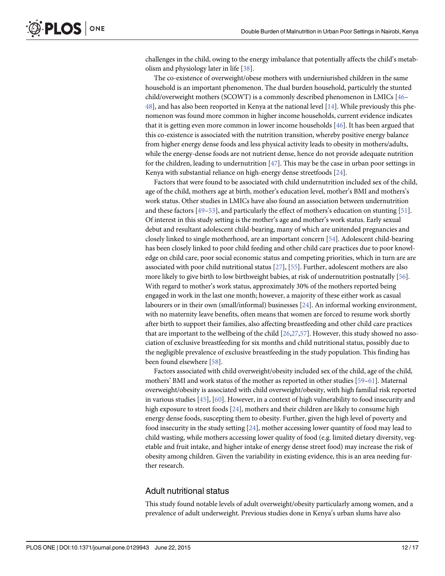<span id="page-11-0"></span>challenges in the child, owing to the energy imbalance that potentially affects the child's metabolism and physiology later in life [[38](#page-15-0)].

The co-existence of overweight/obese mothers with underniurished children in the same household is an important phenomenon. The dual burden household, particulrly the stunted child/overweight mothers (SCOWT) is a commonly described phenomenon in LMICs [\[46](#page-15-0)–  $48$ ], and has also been reoported in Kenya at the national level [[14](#page-14-0)]. While previously this phenomenon was found more common in higher income households, current evidence indicates that it is getting even more common in lower income households [[46](#page-15-0)]. It has been argued that this co-existence is associated with the nutrition transition, whereby positive energy balance from higher energy dense foods and less physical activity leads to obesity in mothers/adults, while the energy-dense foods are not nutrient dense, hence do not provide adequate nutrition for the children, leading to undernutrition  $[47]$  $[47]$  $[47]$ . This may be the case in urban poor settings in Kenya with substantial reliance on high-energy dense streetfoods [\[24](#page-14-0)].

Factors that were found to be associated with child undernutrition included sex of the child, age of the child, mothers age at birth, mother's education level, mother's BMI and mothers's work status. Other studies in LMICs have also found an association between undernutrition and these factors [\[49](#page-15-0)–[53\]](#page-15-0), and particularly the effect of mothers's education on stunting [[51](#page-15-0)]. Of interest in this study setting is the mother's age and mother's work status. Early sexual debut and resultant adolescent child-bearing, many of which are unitended pregnancies and closely linked to single motherhood, are an important concern [\[54\]](#page-15-0). Adolescent child-bearing has been closely linked to poor child feeding and other child care practices due to poor knowledge on child care, poor social economic status and competing priorities, which in turn are are associated with poor child nutritional status [\[27\]](#page-14-0), [[55\]](#page-15-0). Further, adolescent mothers are also more likely to give birth to low birthweight babies, at risk of undernutrition postnatally [[56](#page-15-0)]. With regard to mother's work status, approximately 30% of the mothers reported being engaged in work in the last one month; however, a majority of these either work as casual labourers or in their own (small/informal) businesses [[24](#page-14-0)]. An informal working environment, with no maternity leave benefits, often means that women are forced to resume work shortly after birth to support their families, also affecting breastfeeding and other child care practices that are important to the wellbeing of the child  $[26,27,57]$  $[26,27,57]$  $[26,27,57]$ . However, this study showed no association of exclusive breastfeeding for six months and child nutritional status, possibly due to the negligible prevalence of exclusive breastfeeding in the study population. This finding has been found elsewhere [\[58\]](#page-16-0).

Factors associated with child overweight/obesity included sex of the child, age of the child, mothers' BMI and work status of the mother as reported in other studies [\[59](#page-16-0)–[61](#page-16-0)]. Maternal overweight/obesity is associated with child overweight/obesity, with high familial risk reported in various studies [[45](#page-15-0)], [[60](#page-16-0)]. However, in a context of high vulnerability to food insecurity and high exposure to street foods [[24](#page-14-0)], mothers and their children are likely to consume high energy dense foods, suscepting them to obesity. Further, given the high level of poverty and food insecurity in the study setting [[24](#page-14-0)], mother accessing lower quantity of food may lead to child wasting, while mothers accessing lower quality of food (e.g. limited dietary diversity, vegetable and fruit intake, and higher intake of energy dense street food) may increase the risk of obesity among children. Given the variability in existing evidence, this is an area needing further research.

#### Adult nutritional status

This study found notable levels of adult overweight/obesity particularly among women, and a prevalence of adult underweight. Previous studies done in Kenya's urban slums have also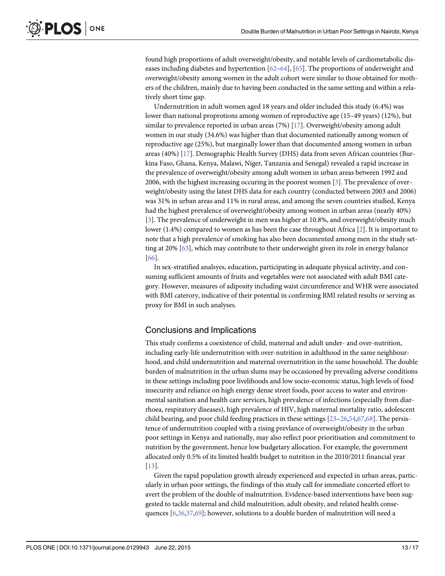<span id="page-12-0"></span>found high proportions of adult overweight/obesity, and notable levels of cardiometabolic diseases including diabetes and hypertention  $[62–64]$  $[62–64]$  $[62–64]$  $[62–64]$ ,  $[65]$  $[65]$  $[65]$ . The proportions of underweight and overweight/obesity among women in the adult cohort were similar to those obtained for mothers of the children, mainly due to having been conducted in the same setting and within a relatively short time gap.

Undernutrition in adult women aged 18 years and older included this study (6.4%) was lower than national proprotions among women of reproductive age (15–49 years) (12%), but similar to prevalence reported in urban areas  $(7%)$  [\[17\]](#page-14-0). Overweight/obesity among adult women in our study (34.6%) was higher than that documented nationally among women of reproductive age (25%), but marginally lower than that documented among women in urban areas (40%) [\[17\]](#page-14-0). Demographic Health Survey (DHS) data from seven African countries (Burkina Faso, Ghana, Kenya, Malawi, Niger, Tanzania and Senegal) revealed a rapid increase in the prevalence of overweight/obesity among adult women in urban areas between 1992 and 2006, with the highest increasing occuring in the poorest women [[3\]](#page-13-0). The prevalence of overweight/obesity using the latest DHS data for each country (conducted between 2003 and 2006) was 31% in urban areas and 11% in rural areas, and among the seven countries studied, Kenya had the highest prevalence of overweight/obesity among women in urban areas (nearly 40%) [\[3](#page-13-0)]. The prevalence of underweight in men was higher at 10.8%, and overweight/obesity much lower (1.4%) compared to women as has been the case throughout Africa [[2](#page-13-0)]. It is important to note that a high prevalence of smoking has also been documented among men in the study set-ting at 20% [\[63\]](#page-16-0), which may contribute to their underweight given its role in energy balance [\[66](#page-16-0)].

In sex-stratified analsyes, education, participating in adequate physical activity, and consuming sufficient amounts of fruits and vegetables were not associated with adult BMI category. However, measures of adiposity including waist circumference and WHR were associated with BMI caterory, indicative of their potential in confirming BMI related results or serving as proxy for BMI in such analyses.

#### Conclusions and Implications

This study confirms a coexistence of child, maternal and adult under- and over-nutrition, including early-life undernutrition with over-nutrition in adulthood in the same neighbourhood, and child undernutrition and maternal overnutrition in the same household. The double burden of malnutrition in the urban slums may be occasioned by prevailing adverse conditions in these settings including poor livelihoods and low socio-economic status, high levels of food insecurity and reliance on high energy dense street foods, poor access to water and environmental sanitation and health care services, high prevalence of infections (especially from diarrhoea, respiratory diseases), high prevalence of HIV, high maternal mortality ratio, adolescent child bearing, and poor child feeding practices in these settings  $[23-26,54,67,68]$  $[23-26,54,67,68]$  $[23-26,54,67,68]$  $[23-26,54,67,68]$  $[23-26,54,67,68]$  $[23-26,54,67,68]$  $[23-26,54,67,68]$  $[23-26,54,67,68]$  $[23-26,54,67,68]$ . The persistence of undernutrition coupled with a rising prevlance of overweight/obesity in the urban poor settings in Kenya and nationally, may also reflect poor prioritisation and commitment to nutrition by the government, hence low budgetary allocation. For example, the government allocated only 0.5% of its limited health budget to nutrition in the 2010/2011 financial year [\[13](#page-13-0)].

Given the rapid population growth already experienced and expected in urban areas, particularly in urban poor settings, the findings of this study call for immediate concerted effort to avert the problem of the double of malnutrition. Evidence-based interventions have been suggested to tackle maternal and child malnutrition, adult obesity, and related health conse-quences [[6](#page-13-0),[36,37,](#page-15-0)[69\]](#page-16-0); however, solutions to a double burden of malnutrition will need a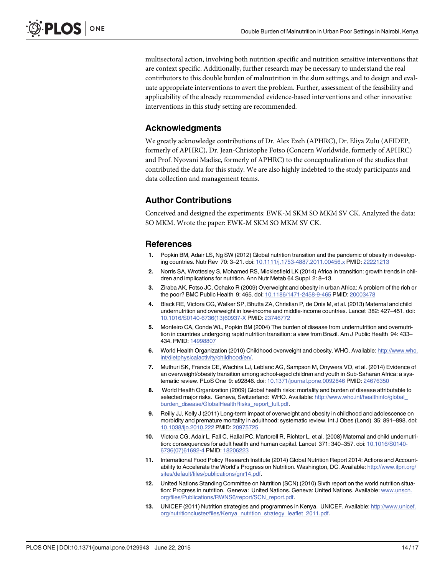<span id="page-13-0"></span>multisectoral action, involving both nutrition specific and nutrition sensitive interventions that are context specific. Additionally, further research may be necessary to understand the real contirbutors to this double burden of malnutrition in the slum settings, and to design and evaluate appropriate interventions to avert the problem. Further, assessment of the feasibility and applicability of the already recommended evidence-based interventions and other innovative interventions in this study setting are recommended.

#### Acknowledgments

We greatly acknowledge contributions of Dr. Alex Ezeh (APHRC), Dr. Eliya Zulu (AFIDEP, formerly of APHRC), Dr. Jean-Christophe Fotso (Concern Worldwide, formerly of APHRC) and Prof. Nyovani Madise, formerly of APHRC) to the conceptualization of the studies that contributed the data for this study. We are also highly indebted to the study participants and data collection and management teams.

#### Author Contributions

Conceived and designed the experiments: EWK-M SKM SO MKM SV CK. Analyzed the data: SO MKM. Wrote the paper: EWK-M SKM SO MKM SV CK.

#### References

- [1.](#page-1-0) Popkin BM, Adair LS, Ng SW (2012) Global nutrition transition and the pandemic of obesity in developing countries. Nutr Rev 70: 3–21. doi: [10.1111/j.1753-4887.2011.00456.x](http://dx.doi.org/10.1111/j.1753-4887.2011.00456.x) PMID: [22221213](http://www.ncbi.nlm.nih.gov/pubmed/22221213)
- [2.](#page-1-0) Norris SA, Wrottesley S, Mohamed RS, Micklesfield LK (2014) Africa in transition: growth trends in children and implications for nutrition. Ann Nutr Metab 64 Suppl 2: 8–13.
- [3.](#page-1-0) Ziraba AK, Fotso JC, Ochako R (2009) Overweight and obesity in urban Africa: A problem of the rich or the poor? BMC Public Health 9: 465. doi: [10.1186/1471-2458-9-465](http://dx.doi.org/10.1186/1471-2458-9-465) PMID: [20003478](http://www.ncbi.nlm.nih.gov/pubmed/20003478)
- [4.](#page-1-0) Black RE, Victora CG, Walker SP, Bhutta ZA, Christian P, de Onis M, et al. (2013) Maternal and child undernutrition and overweight in low-income and middle-income countries. Lancet 382: 427–451. doi: [10.1016/S0140-6736\(13\)60937-X](http://dx.doi.org/10.1016/S0140-6736(13)60937-X) PMID: [23746772](http://www.ncbi.nlm.nih.gov/pubmed/23746772)
- [5.](#page-1-0) Monteiro CA, Conde WL, Popkin BM (2004) The burden of disease from undernutrition and overnutrition in countries undergoing rapid nutrition transition: a view from Brazil. Am J Public Health 94: 433– 434. PMID: [14998807](http://www.ncbi.nlm.nih.gov/pubmed/14998807)
- [6.](#page-1-0) World Health Organization (2010) Childhood overweight and obesity. WHO. Available: [http://www.who.](http://www.who.int/dietphysicalactivity/childhood/en/) [int/dietphysicalactivity/childhood/en/](http://www.who.int/dietphysicalactivity/childhood/en/).
- [7.](#page-1-0) Muthuri SK, Francis CE, Wachira LJ, Leblanc AG, Sampson M, Onywera VO, et al. (2014) Evidence of an overweight/obesity transition among school-aged children and youth in Sub-Saharan Africa: a systematic review. PLoS One 9: e92846. doi: [10.1371/journal.pone.0092846](http://dx.doi.org/10.1371/journal.pone.0092846) PMID: [24676350](http://www.ncbi.nlm.nih.gov/pubmed/24676350)
- [8.](#page-1-0) World Health Organization (2009) Global health risks: mortality and burden of disease attributable to selected major risks. Geneva, Switzerland: WHO. Available: [http://www.who.int/healthinfo/global\\_](http://www.who.int/healthinfo/global_burden_disease/GlobalHealthRisks_report_full.pdf) [burden\\_disease/GlobalHealthRisks\\_report\\_full.pdf](http://www.who.int/healthinfo/global_burden_disease/GlobalHealthRisks_report_full.pdf).
- [9.](#page-1-0) Reilly JJ, Kelly J (2011) Long-term impact of overweight and obesity in childhood and adolescence on morbidity and premature mortality in adulthood: systematic review. Int J Obes (Lond) 35: 891–898. doi: [10.1038/ijo.2010.222](http://dx.doi.org/10.1038/ijo.2010.222) PMID: [20975725](http://www.ncbi.nlm.nih.gov/pubmed/20975725)
- [10.](#page-1-0) Victora CG, Adair L, Fall C, Hallal PC, Martorell R, Richter L, et al. (2008) Maternal and child undernutrition: consequences for adult health and human capital. Lancet 371: 340–357. doi: [10.1016/S0140-](http://dx.doi.org/10.1016/S0140-6736(07)61692-4) [6736\(07\)61692-4](http://dx.doi.org/10.1016/S0140-6736(07)61692-4) PMID: [18206223](http://www.ncbi.nlm.nih.gov/pubmed/18206223)
- [11.](#page-2-0) International Food Policy Research Institute (2014) Global Nutrition Report 2014: Actions and Accountability to Accelerate the World's Progress on Nutrition. Washington, DC. Available: [http://www.ifpri.org/](http://www.ifpri.org/sites/default/files/publications/gnr14.pdf) [sites/default/files/publications/gnr14.pdf.](http://www.ifpri.org/sites/default/files/publications/gnr14.pdf)
- [12.](#page-2-0) United Nations Standing Committee on Nutrition (SCN) (2010) Sixth report on the world nutrition situation: Progress in nutrition. Geneva: United Nations. Geneva: United Nations. Available: [www.unscn.](http://www.unscn.org/files/Publications/RWNS6/report/SCN_report.pdf) [org/files/Publications/RWNS6/report/SCN\\_report.pdf.](http://www.unscn.org/files/Publications/RWNS6/report/SCN_report.pdf)
- [13.](#page-2-0) UNICEF (2011) Nutrition strategies and programmes in Kenya. UNICEF. Available: [http://www.unicef.](http://www.unicef.org/nutritioncluster/files/Kenya_nutrition_strategy_leaflet_2011.pdf) [org/nutritioncluster/files/Kenya\\_nutrition\\_strategy\\_leaflet\\_2011.pdf](http://www.unicef.org/nutritioncluster/files/Kenya_nutrition_strategy_leaflet_2011.pdf).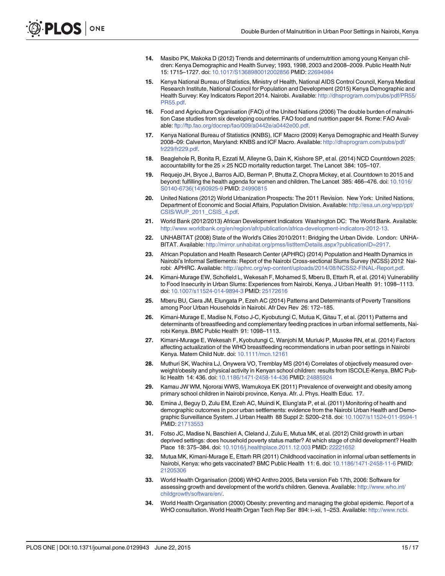- <span id="page-14-0"></span>[14.](#page-2-0) Masibo PK, Makoka D (2012) Trends and determinants of undernutrition among young Kenyan children: Kenya Demographic and Health Survey; 1993, 1998, 2003 and 2008–2009. Public Health Nutr 15: 1715–1727. doi: [10.1017/S1368980012002856](http://dx.doi.org/10.1017/S1368980012002856) PMID: [22694984](http://www.ncbi.nlm.nih.gov/pubmed/22694984)
- [15.](#page-2-0) Kenya National Bureau of Statistics, Ministry of Health, National AIDS Control Council, Kenya Medical Research Institute, National Council for Population and Development (2015) Kenya Demographic and Health Survey: Key Indicators Report 2014. Nairobi. Available: [http://dhsprogram.com/pubs/pdf/PR55/](http://dhsprogram.com/pubs/pdf/PR55/PR55.pdf) [PR55.pdf.](http://dhsprogram.com/pubs/pdf/PR55/PR55.pdf)
- [16.](#page-2-0) Food and Agriculture Organisation (FAO) of the United Nations (2006) The double burden of malnutrition Case studies from six developing countries. FAO food and nutrition paper 84. Rome: FAO Available: [ftp://ftp.fao.org/docrep/fao/009/a0442e/a0442e00.pdf](http://ftp://ftp.fao.org/docrep/fao/009/a0442e/a0442e00.pdf).
- [17.](#page-2-0) Kenya National Bureau of Statistics (KNBS), ICF Macro (2009) Kenya Demographic and Health Survey 2008–09: Calverton, Maryland: KNBS and ICF Macro. Available: [http://dhsprogram.com/pubs/pdf/](http://dhsprogram.com/pubs/pdf/fr229/fr229.pdf) [fr229/fr229.pdf](http://dhsprogram.com/pubs/pdf/fr229/fr229.pdf).
- [18.](#page-2-0) Beaglehole R, Bonita R, Ezzati M, Alleyne G, Dain K, Kishore SP, et al. (2014) NCD Countdown 2025: accountability for the  $25 \times 25$  NCD mortality reduction target. The Lancet 384: 105–107.
- [19.](#page-2-0) Requejo JH, Bryce J, Barros AJD, Berman P, Bhutta Z, Chopra Mickey, et al. Countdown to 2015 and beyond: fulfilling the health agenda for women and children. The Lancet 385: 466–476. doi: [10.1016/](http://dx.doi.org/10.1016/S0140-6736(14)60925-9) [S0140-6736\(14\)60925-9](http://dx.doi.org/10.1016/S0140-6736(14)60925-9) PMID: [24990815](http://www.ncbi.nlm.nih.gov/pubmed/24990815)
- [20.](#page-2-0) United Nations (2012) World Urbanization Prospects: The 2011 Revision. New York: United Nations, Department of Economic and Social Affairs, Population Division. Available: [http://esa.un.org/wpp/ppt/](http://esa.un.org/wpp/ppt/CSIS/WUP_2011_CSIS_4.pdf) [CSIS/WUP\\_2011\\_CSIS\\_4.pdf](http://esa.un.org/wpp/ppt/CSIS/WUP_2011_CSIS_4.pdf).
- [21.](#page-2-0) World Bank (2012/2013) African Development Indicators Washington DC: The World Bank. Available: <http://www.worldbank.org/en/region/afr/publication/africa-development-indicators-2012-13>.
- [22.](#page-2-0) UNHABITAT (2008) State of the World's Cities 2010/2011: Bridging the Urban Divide. London: UNHA-BITAT. Available: <http://mirror.unhabitat.org/pmss/listItemDetails.aspx?publicationID=2917>.
- [23.](#page-3-0) African Population and Health Research Center (APHRC) (2014) Population and Health Dynamics in Nairobi's Informal Settlements: Report of the Nairobi Cross-sectional Slums Survey (NCSS) 2012 Nairobi: APHRC. Available: <http://aphrc.org/wp-content/uploads/2014/08/NCSS2-FINAL-Report.pdf>.
- [24.](#page-11-0) Kimani-Murage EW, Schofield L, Wekesah F, Mohamed S, Mberu B, Ettarh R, et al. (2014) Vulnerability to Food Insecurity in Urban Slums: Experiences from Nairobi, Kenya. J Urban Health 91: 1098–1113. doi: [10.1007/s11524-014-9894-3](http://dx.doi.org/10.1007/s11524-014-9894-3) PMID: [25172616](http://www.ncbi.nlm.nih.gov/pubmed/25172616)
- 25. Mberu BU, Ciera JM, Elungata P, Ezeh AC (2014) Patterns and Determinants of Poverty Transitions among Poor Urban Households in Nairobi. Afr Dev Rev 26: 172–185.
- [26.](#page-3-0) Kimani-Murage E, Madise N, Fotso J-C, Kyobutungi C, Mutua K, Gitau T, et al. (2011) Patterns and determinants of breastfeeding and complementary feeding practices in urban informal settlements, Nairobi Kenya. BMC Public Health 91: 1098–1113.
- [27.](#page-3-0) Kimani-Murage E, Wekesah F, Kyobutungi C, Wanjohi M, Muriuki P, Musoke RN, et al. (2014) Factors affecting actualization of the WHO breastfeeding recommendations in urban poor settings in Nairobi Kenya. Matern Child Nutr. doi: [10.1111/mcn.12161](http://dx.doi.org/10.1111/mcn.12161)
- [28.](#page-3-0) Muthuri SK, Wachira LJ, Onywera VO, Tremblay MS (2014) Correlates of objectively measured overweight/obesity and physical activity in Kenyan school children: results from ISCOLE-Kenya. BMC Public Health 14: 436. doi: [10.1186/1471-2458-14-436](http://dx.doi.org/10.1186/1471-2458-14-436) PMID: [24885924](http://www.ncbi.nlm.nih.gov/pubmed/24885924)
- [29.](#page-3-0) Kamau JW WM, Njororai WWS, Wamukoya EK (2011) Prevalence of overweight and obesity among primary school children in Nairobi province, Kenya. Afr. J. Phys. Health Educ. 17.
- [30.](#page-3-0) Emina J, Beguy D, Zulu EM, Ezeh AC, Muindi K, Elung'ata P, et al. (2011) Monitoring of health and demographic outcomes in poor urban settlements: evidence from the Nairobi Urban Health and Demographic Surveillance System. J Urban Health 88 Suppl 2: S200–218. doi: [10.1007/s11524-011-9594-1](http://dx.doi.org/10.1007/s11524-011-9594-1) PMID: [21713553](http://www.ncbi.nlm.nih.gov/pubmed/21713553)
- [31.](#page-3-0) Fotso JC, Madise N, Baschieri A, Cleland J, Zulu E, Mutua MK, et al. (2012) Child growth in urban deprived settings: does household poverty status matter? At which stage of child development? Health Place 18: 375–384. doi: [10.1016/j.healthplace.2011.12.003](http://dx.doi.org/10.1016/j.healthplace.2011.12.003) PMID: [22221652](http://www.ncbi.nlm.nih.gov/pubmed/22221652)
- [32.](#page-3-0) Mutua MK, Kimani-Murage E, Ettarh RR (2011) Childhood vaccination in informal urban settlements in Nairobi, Kenya: who gets vaccinated? BMC Public Health 11: 6. doi: [10.1186/1471-2458-11-6](http://dx.doi.org/10.1186/1471-2458-11-6) PMID: [21205306](http://www.ncbi.nlm.nih.gov/pubmed/21205306)
- [33.](#page-4-0) World Health Organisation (2006) WHO Anthro 2005, Beta version Feb 17th, 2006: Software for assessing growth and development of the world's children. Geneva. Available: [http://www.who.int/](http://www.who.int/childgrowth/software/en/) [childgrowth/software/en/](http://www.who.int/childgrowth/software/en/).
- [34.](#page-4-0) World Health Organisation (2000) Obesity: preventing and managing the global epidemic. Report of a WHO consultation. World Health Organ Tech Rep Ser 894: i-xii, 1-253. Available: [http://www.ncbi.](http://www.ncbi.nlm.nih.gov/entrez/query.fcgi?cmd=Retrieve&db=PubMed&dopt=Citation&list_uids=11234459)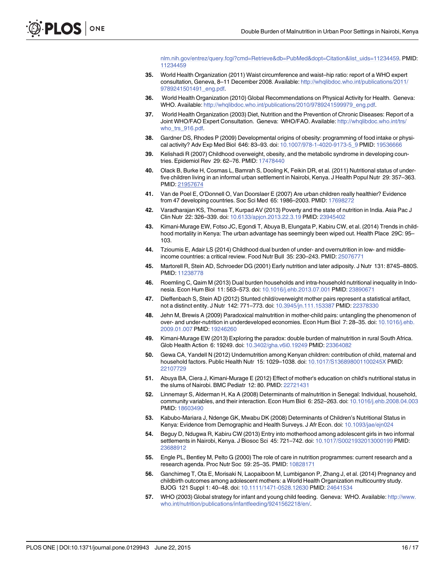[nlm.nih.gov/entrez/query.fcgi?cmd=Retrieve&db=PubMed&dopt=Citation&list\\_uids=11234459](http://www.ncbi.nlm.nih.gov/entrez/query.fcgi?cmd=Retrieve&db=PubMed&dopt=Citation&list_uids=11234459). PMID: [11234459](http://www.ncbi.nlm.nih.gov/pubmed/11234459)

- <span id="page-15-0"></span>[35.](#page-4-0) World Health Organization (2011) Waist circumference and waist–hip ratio: report of a WHO expert consultation, Geneva, 8–11 December 2008. Available: [http://whqlibdoc.who.int/publications/2011/](http://whqlibdoc.who.int/publications/2011/9789241501491_eng.pdf) [9789241501491\\_eng.pdf.](http://whqlibdoc.who.int/publications/2011/9789241501491_eng.pdf)
- [36.](#page-4-0) World Health Organization (2010) Global Recommendations on Physical Activity for Health. Geneva: WHO. Available: [http://whqlibdoc.who.int/publications/2010/9789241599979\\_eng.pdf](http://whqlibdoc.who.int/publications/2010/9789241599979_eng.pdf).
- [37.](#page-5-0) World Health Organization (2003) Diet, Nutrition and the Prevention of Chronic Diseases: Report of a Joint WHO/FAO Expert Consultation. Geneva: WHO/FAO. Available: [http://whqlibdoc.who.int/trs/](http://whqlibdoc.who.int/trs/who_trs_916.pdf) who trs 916.pdf.
- [38.](#page-8-0) Gardner DS, Rhodes P (2009) Developmental origins of obesity: programming of food intake or physi-cal activity? Adv Exp Med Biol 646: 83-93. doi: [10.1007/978-1-4020-9173-5\\_9](http://dx.doi.org/10.1007/978-1-4020-9173-5_9) PMID: [19536666](http://www.ncbi.nlm.nih.gov/pubmed/19536666)
- [39.](#page-8-0) Kelishadi R (2007) Childhood overweight, obesity, and the metabolic syndrome in developing countries. Epidemiol Rev 29: 62–76. PMID: [17478440](http://www.ncbi.nlm.nih.gov/pubmed/17478440)
- [40.](#page-9-0) Olack B, Burke H, Cosmas L, Bamrah S, Dooling K, Feikin DR, et al. (2011) Nutritional status of underfive children living in an informal urban settlement in Nairobi, Kenya. J Health Popul Nutr 29: 357–363. PMID: [21957674](http://www.ncbi.nlm.nih.gov/pubmed/21957674)
- [41.](#page-9-0) Van de Poel E, O'Donnell O, Van Doorslaer E (2007) Are urban children really healthier? Evidence from 47 developing countries. Soc Sci Med 65: 1986–2003. PMID: [17698272](http://www.ncbi.nlm.nih.gov/pubmed/17698272)
- [42.](#page-9-0) Varadharajan KS, Thomas T, Kurpad AV (2013) Poverty and the state of nutrition in India. Asia Pac J Clin Nutr 22: 326–339. doi: [10.6133/apjcn.2013.22.3.19](http://dx.doi.org/10.6133/apjcn.2013.22.3.19) PMID: [23945402](http://www.ncbi.nlm.nih.gov/pubmed/23945402)
- [43.](#page-9-0) Kimani-Murage EW, Fotso JC, Egondi T, Abuya B, Elungata P, Kabiru CW, et al. (2014) Trends in childhood mortality in Kenya: The urban advantage has seemingly been wiped out. Health Place 29C: 95– 103.
- [44.](#page-10-0) Tzioumis E, Adair LS (2014) Childhood dual burden of under- and overnutrition in low- and middleincome countries: a critical review. Food Nutr Bull 35: 230–243. PMID: [25076771](http://www.ncbi.nlm.nih.gov/pubmed/25076771)
- [45.](#page-10-0) Martorell R, Stein AD, Schroeder DG (2001) Early nutrition and later adiposity. J Nutr 131: 874S–880S. PMID: [11238778](http://www.ncbi.nlm.nih.gov/pubmed/11238778)
- [46.](#page-11-0) Roemling C, Qaim M (2013) Dual burden households and intra-household nutritional inequality in Indonesia. Econ Hum Biol 11: 563–573. doi: [10.1016/j.ehb.2013.07.001](http://dx.doi.org/10.1016/j.ehb.2013.07.001) PMID: [23890671](http://www.ncbi.nlm.nih.gov/pubmed/23890671)
- [47.](#page-11-0) Dieffenbach S, Stein AD (2012) Stunted child/overweight mother pairs represent a statistical artifact, not a distinct entity. J Nutr 142: 771–773. doi: [10.3945/jn.111.153387](http://dx.doi.org/10.3945/jn.111.153387) PMID: [22378330](http://www.ncbi.nlm.nih.gov/pubmed/22378330)
- [48.](#page-11-0) Jehn M, Brewis A (2009) Paradoxical malnutrition in mother-child pairs: untangling the phenomenon of over- and under-nutrition in underdeveloped economies. Econ Hum Biol 7: 28–35. doi: [10.1016/j.ehb.](http://dx.doi.org/10.1016/j.ehb.2009.01.007) [2009.01.007](http://dx.doi.org/10.1016/j.ehb.2009.01.007) PMID: [19246260](http://www.ncbi.nlm.nih.gov/pubmed/19246260)
- [49.](#page-11-0) Kimani-Murage EW (2013) Exploring the paradox: double burden of malnutrition in rural South Africa. Glob Health Action 6: 19249. doi: [10.3402/gha.v6i0.19249](http://dx.doi.org/10.3402/gha.v6i0.19249) PMID: [23364082](http://www.ncbi.nlm.nih.gov/pubmed/23364082)
- 50. Gewa CA, Yandell N (2012) Undernutrition among Kenyan children: contribution of child, maternal and household factors. Public Health Nutr 15: 1029–1038. doi: [10.1017/S136898001100245X](http://dx.doi.org/10.1017/S136898001100245X) PMID: [22107729](http://www.ncbi.nlm.nih.gov/pubmed/22107729)
- [51.](#page-11-0) Abuya BA, Ciera J, Kimani-Murage E (2012) Effect of mother's education on child's nutritional status in the slums of Nairobi. BMC Pediatr 12: 80. PMID: [22721431](http://www.ncbi.nlm.nih.gov/pubmed/22721431)
- 52. Linnemayr S, Alderman H, Ka A (2008) Determinants of malnutrition in Senegal: Individual, household, community variables, and their interaction. Econ Hum Biol 6: 252–263. doi: [10.1016/j.ehb.2008.04.003](http://dx.doi.org/10.1016/j.ehb.2008.04.003) PMID: [18603490](http://www.ncbi.nlm.nih.gov/pubmed/18603490)
- [53.](#page-11-0) Kabubo-Mariara J, Ndenge GK, Mwabu DK (2008) Determinants of Children's Nutritional Status in Kenya: Evidence from Demographic and Health Surveys. J Afr Econ. doi: [10.1093/jae/ejn024](http://dx.doi.org/10.1093/jae/ejn024)
- [54.](#page-11-0) Beguy D, Ndugwa R, Kabiru CW (2013) Entry into motherhood among adolescent girls in two informal settlements in Nairobi, Kenya. J Biosoc Sci 45: 721–742. doi: [10.1017/S0021932013000199](http://dx.doi.org/10.1017/S0021932013000199) PMID: [23688912](http://www.ncbi.nlm.nih.gov/pubmed/23688912)
- [55.](#page-11-0) Engle PL, Bentley M, Pelto G (2000) The role of care in nutrition programmes: current research and a research agenda. Proc Nutr Soc 59: 25–35. PMID: [10828171](http://www.ncbi.nlm.nih.gov/pubmed/10828171)
- [56.](#page-11-0) Ganchimeg T, Ota E, Morisaki N, Laopaiboon M, Lumbiganon P, Zhang J, et al. (2014) Pregnancy and childbirth outcomes among adolescent mothers: a World Health Organization multicountry study. BJOG 121 Suppl 1: 40–48. doi: [10.1111/1471-0528.12630](http://dx.doi.org/10.1111/1471-0528.12630) PMID: [24641534](http://www.ncbi.nlm.nih.gov/pubmed/24641534)
- [57.](#page-11-0) WHO (2003) Global strategy for infant and young child feeding. Geneva: WHO. Available: [http://www.](http://www.who.int/nutrition/publications/infantfeeding/9241562218/en/) [who.int/nutrition/publications/infantfeeding/9241562218/en/.](http://www.who.int/nutrition/publications/infantfeeding/9241562218/en/)